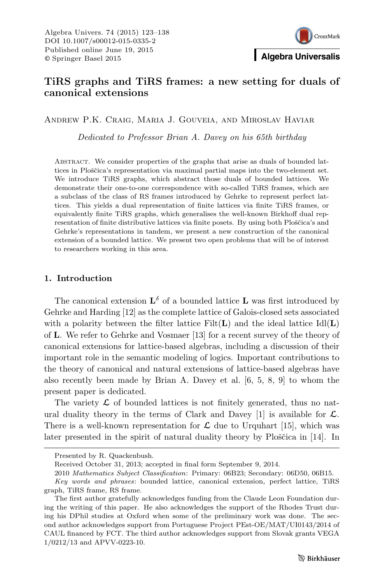

# TiRS graphs and TiRS frames: a new setting for duals of canonical extensions

Andrew P.K. Craig, Maria J. Gouveia, and Miroslav Haviar

Dedicated to Professor Brian A. Davey on his 65th birthday

Abstract. We consider properties of the graphs that arise as duals of bounded lattices in Ploščica's representation via maximal partial maps into the two-element set. We introduce TiRS graphs, which abstract those duals of bounded lattices. We demonstrate their one-to-one correspondence with so-called TiRS frames, which are a subclass of the class of RS frames introduced by Gehrke to represent perfect lattices. This yields a dual representation of finite lattices via finite TiRS frames, or equivalently finite TiRS graphs, which generalises the well-known Birkhoff dual representation of finite distributive lattices via finite posets. By using both Ploščica's and Gehrke's representations in tandem, we present a new construction of the canonical extension of a bounded lattice. We present two open problems that will be of interest to researchers working in this area.

## 1. Introduction

The canonical extension  $\mathbf{L}^{\delta}$  of a bounded lattice **L** was first introduced by Gehrke and Harding [12] as the complete lattice of Galois-closed sets associated with a polarity between the filter lattice  $Filt(L)$  and the ideal lattice  $Id(L)$ of L. We refer to Gehrke and Vosmaer [13] for a recent survey of the theory of canonical extensions for lattice-based algebras, including a discussion of their important role in the semantic modeling of logics. Important contributions to the theory of canonical and natural extensions of lattice-based algebras have also recently been made by Brian A. Davey et al. [6, 5, 8, 9] to whom the present paper is dedicated.

The variety  $\mathcal L$  of bounded lattices is not finitely generated, thus no natural duality theory in the terms of Clark and Davey [1] is available for  $\mathcal{L}$ . There is a well-known representation for  $\mathcal L$  due to Urquhart [15], which was later presented in the spirit of natural duality theory by Ploščica in [14]. In

Presented by R. Quackenbush.

Received October 31, 2013; accepted in final form September 9, 2014.

<sup>2010</sup> Mathematics Subject Classification: Primary: 06B23; Secondary: 06D50, 06B15.

Key words and phrases: bounded lattice, canonical extension, perfect lattice, TiRS graph, TiRS frame, RS frame.

The first author gratefully acknowledges funding from the Claude Leon Foundation during the writing of this paper. He also acknowledges the support of the Rhodes Trust during his DPhil studies at Oxford when some of the preliminary work was done. The second author acknowledges support from Portuguese Project PEst-OE/MAT/UI0143/2014 of CAUL financed by FCT. The third author acknowledges support from Slovak grants VEGA 1/0212/13 and APVV-0223-10.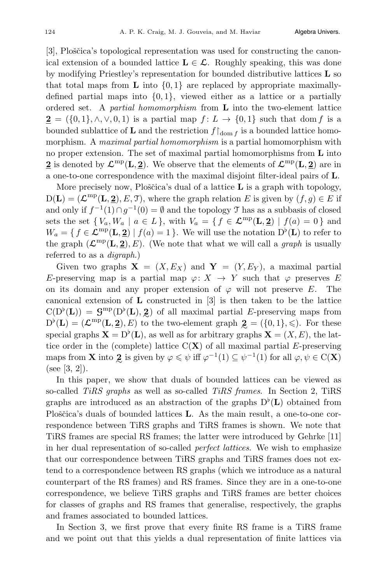[3], Ploščica's topological representation was used for constructing the canonical extension of a bounded lattice  $L \in \mathcal{L}$ . Roughly speaking, this was done by modifying Priestley's representation for bounded distributive lattices  $\bf{L}$  so that total maps from **L** into  $\{0,1\}$  are replaced by appropriate maximallydefined partial maps into  $\{0, 1\}$ , viewed either as a lattice or a partially ordered set. A *partial homomorphism* from  $\bf{L}$  into the two-element lattice  $2 = (\{0, 1\}, \wedge, \vee, 0, 1)$  is a partial map  $f: L \to \{0, 1\}$  such that dom f is a bounded sublattice of **L** and the restriction  $f|_{\text{dom } f}$  is a bounded lattice homomorphism. A maximal partial homomorphism is a partial homomorphism with no proper extension. The set of maximal partial homomorphisms from  $L$  into 2 is denoted by  $\mathcal{L}^{\text{mp}}(\mathbf{L}, \mathbf{2})$ . We observe that the elements of  $\mathcal{L}^{\text{mp}}(\mathbf{L}, \mathbf{2})$  are in a one-to-one correspondence with the maximal disjoint filter-ideal pairs of L.

More precisely now, Ploščica's dual of a lattice  $\bf{L}$  is a graph with topology,  $D(L)=(\mathcal{L}^{mp}(L, 2), E, \mathcal{T})$ , where the graph relation E is given by  $(f,g) \in E$  if and only if  $f^{-1}(1) \cap g^{-1}(0) = \emptyset$  and the topology  $\mathcal T$  has as a subbasis of closed sets the set  $\{V_a, W_a \mid a \in L\}$ , with  $V_a = \{f \in \mathcal{L}^{\text{mp}}(\mathbf{L}, \mathbf{2}) \mid f(a) = 0\}$  and  $W_a = \{ f \in \mathcal{L}^{mp}(\mathbf{L}, \mathbf{2}) \mid f(a) = 1 \}.$  We will use the notation  $D^{\flat}(\mathbf{L})$  to refer to the graph  $(\mathcal{L}^{mp}(\mathbf{L}, \mathbf{2}), E)$ . (We note that what we will call a *graph* is usually referred to as a digraph.)

Given two graphs  $X = (X, E_X)$  and  $Y = (Y, E_Y)$ , a maximal partial E-preserving map is a partial map  $\varphi: X \to Y$  such that  $\varphi$  preserves E on its domain and any proper extension of  $\varphi$  will not preserve E. The canonical extension of  $\bf{L}$  constructed in [3] is then taken to be the lattice  $C(D^{\flat}(L)) = G^{mp}(D^{\flat}(L), 2)$  of all maximal partial E-preserving maps from<br> $D^{\flat}(L) = (C^{mp}(L, 2), E)$  to the two element graph  $2 = (0, 1) < 0$ . For these  $D^{\flat}(\mathbf{L}) = (\mathcal{L}^{mp}(\mathbf{L}, \mathbf{2}), E)$  to the two-element graph  $\mathbf{2} = (\{0, 1\}, \leqslant)$ . For these<br>special graphs  $\mathbf{X} = D^{\flat}(\mathbf{L})$  as well as for arbitrary graphs  $\mathbf{X} = (X, E)$ , the lat special graphs  $\mathbf{X} = D^{\flat}(\mathbf{L})$ , as well as for arbitrary graphs  $\mathbf{X} = (X, E)$ , the lattice order in the (complete) lattice  $C(X)$  of all maximal partial E-preserving maps from **X** into 2 is given by  $\varphi \leq \psi$  iff  $\varphi^{-1}(1) \subseteq \psi^{-1}(1)$  for all  $\varphi, \psi \in C(\mathbf{X})$ (see [3, 2]).

In this paper, we show that duals of bounded lattices can be viewed as so-called TiRS graphs as well as so-called TiRS frames. In Section 2, TiRS graphs are introduced as an abstraction of the graphs  $D^{\flat}(\mathbf{L})$  obtained from Ploščica's duals of bounded lattices  $\bf{L}$ . As the main result, a one-to-one correspondence between TiRS graphs and TiRS frames is shown. We note that TiRS frames are special RS frames; the latter were introduced by Gehrke [11] in her dual representation of so-called perfect lattices. We wish to emphasize that our correspondence between TiRS graphs and TiRS frames does not extend to a correspondence between RS graphs (which we introduce as a natural counterpart of the RS frames) and RS frames. Since they are in a one-to-one correspondence, we believe TiRS graphs and TiRS frames are better choices for classes of graphs and RS frames that generalise, respectively, the graphs and frames associated to bounded lattices.

In Section 3, we first prove that every finite RS frame is a TiRS frame and we point out that this yields a dual representation of finite lattices via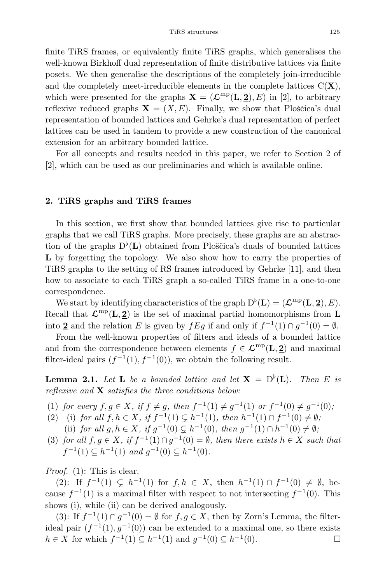finite TiRS frames, or equivalently finite TiRS graphs, which generalises the well-known Birkhoff dual representation of finite distributive lattices via finite posets. We then generalise the descriptions of the completely join-irreducible and the completely meet-irreducible elements in the complete lattices  $C(X)$ , which were presented for the graphs  $\mathbf{X} = (\mathcal{L}^{mp}(\mathbf{L}, 2), E)$  in [2], to arbitrary reflexive reduced graphs  $X = (X, E)$ . Finally, we show that Ploščica's dual representation of bounded lattices and Gehrke's dual representation of perfect lattices can be used in tandem to provide a new construction of the canonical extension for an arbitrary bounded lattice.

For all concepts and results needed in this paper, we refer to Section 2 of [2], which can be used as our preliminaries and which is available online.

## 2. TiRS graphs and TiRS frames

In this section, we first show that bounded lattices give rise to particular graphs that we call TiRS graphs. More precisely, these graphs are an abstraction of the graphs  $D^{\flat}(\mathbf{L})$  obtained from Ploščica's duals of bounded lattices L by forgetting the topology. We also show how to carry the properties of TiRS graphs to the setting of RS frames introduced by Gehrke [11], and then how to associate to each TiRS graph a so-called TiRS frame in a one-to-one correspondence.

We start by identifying characteristics of the graph  $D^{\flat}(\mathbf{L})=(\mathcal{L}^{mp}(\mathbf{L}, 2), E)$ . Recall that  $\mathcal{L}^{mp}(\mathbf{L}, 2)$  is the set of maximal partial homomorphisms from L into 2 and the relation E is given by  $fEg$  if and only if  $f^{-1}(1) \cap g^{-1}(0) = \emptyset$ .

From the well-known properties of filters and ideals of a bounded lattice and from the correspondence between elements  $f \in \mathcal{L}^{\text{mp}}(\mathbf{L}, \mathbf{2})$  and maximal filter-ideal pairs  $(f^{-1}(1), f^{-1}(0))$ , we obtain the following result.

**Lemma 2.1.** Let **L** be a bounded lattice and let  $X = D^{\circ}(L)$ . Then E is reflexive and  $X$  satisfies the three conditions below:

- (1) for every  $f,g \in X$ , if  $f \neq g$ , then  $f^{-1}(1) \neq g^{-1}(1)$  or  $f^{-1}(0) \neq g^{-1}(0)$ ;
- (2) (i) for all  $f, h \in X$ , if  $f^{-1}(1) \subseteq h^{-1}(1)$ , then  $h^{-1}(1) \cap f^{-1}(0) \neq \emptyset$ ; (ii) for all  $g, h \in X$ , if  $g^{-1}(0) \subsetneq h^{-1}(0)$ , then  $g^{-1}(1) \cap h^{-1}(0) \neq \emptyset$ ;
- (3) for all  $f,g \in X$ , if  $f^{-1}(1) \cap g^{-1}(0) = \emptyset$ , then there exists  $h \in X$  such that  $f^{-1}(1) \subset h^{-1}(1)$  and  $q^{-1}(0) \subset h^{-1}(0)$ .

*Proof.* (1): This is clear.

(2): If  $f^{-1}(1) \subseteq h^{-1}(1)$  for  $f, h \in X$ , then  $h^{-1}(1) \cap f^{-1}(0) \neq \emptyset$ , because  $f^{-1}(1)$  is a maximal filter with respect to not intersecting  $f^{-1}(0)$ . This shows (i), while (ii) can be derived analogously.

(3): If  $f^{-1}(1) \cap g^{-1}(0) = \emptyset$  for  $f, g \in X$ , then by Zorn's Lemma, the filterideal pair  $(f^{-1}(1), g^{-1}(0))$  can be extended to a maximal one, so there exists  $h \in X$  for which  $f^{-1}(1) \subseteq h^{-1}(1)$  and  $g^{-1}(0) \subseteq h^{-1}(0)$ .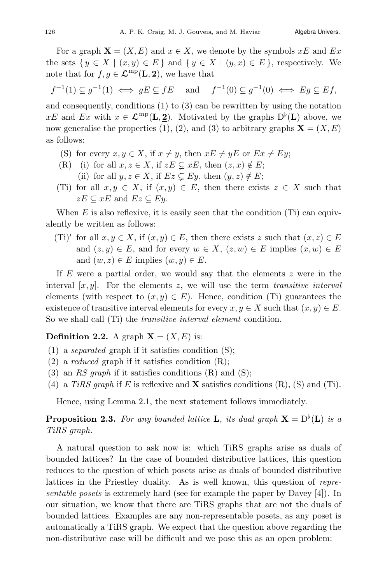For a graph  $\mathbf{X} = (X, E)$  and  $x \in X$ , we denote by the symbols  $xE$  and  $Ex$ the sets  $\{y \in X \mid (x, y) \in E\}$  and  $\{y \in X \mid (y, x) \in E\}$ , respectively. We note that for  $f,g \in \mathcal{L}^{\text{mp}}(\mathbf{L}, \mathbf{2})$ , we have that

$$
f^{-1}(1) \subseteq g^{-1}(1) \iff gE \subseteq fE
$$
 and  $f^{-1}(0) \subseteq g^{-1}(0) \iff Eg \subseteq Ef$ ,

and consequently, conditions (1) to (3) can be rewritten by using the notation  $xE$  and  $Ex$  with  $x \in \mathcal{L}^{\text{mp}}(\mathbf{L}, \mathbf{2})$ . Motivated by the graphs  $D^{\flat}(\mathbf{L})$  above, we now generalise the properties (1), (2), and (3) to arbitrary graphs  $\mathbf{X} = (X, E)$ as follows:

- (S) for every  $x, y \in X$ , if  $x \neq y$ , then  $xE \neq yE$  or  $Ex \neq Ey$ ;
- (R) (i) for all  $x, z \in X$ , if  $zE \subsetneq xE$ , then  $(z, x) \notin E$ ;
	- (ii) for all  $y, z \in X$ , if  $Ez \subseteq Ey$ , then  $(y, z) \notin E$ ;
- (Ti) for all  $x, y \in X$ , if  $(x, y) \in E$ , then there exists  $z \in X$  such that  $zE \subseteq xE$  and  $Ez \subseteq Ey$ .

When  $E$  is also reflexive, it is easily seen that the condition (Ti) can equivalently be written as follows:

(Ti)' for all  $x, y \in X$ , if  $(x, y) \in E$ , then there exists z such that  $(x, z) \in E$ and  $(z, y) \in E$ , and for every  $w \in X$ ,  $(z, w) \in E$  implies  $(x, w) \in E$ and  $(w, z) \in E$  implies  $(w, y) \in E$ .

If  $E$  were a partial order, we would say that the elements  $z$  were in the interval  $[x, y]$ . For the elements z, we will use the term transitive interval elements (with respect to  $(x, y) \in E$ ). Hence, condition (Ti) guarantees the existence of transitive interval elements for every  $x, y \in X$  such that  $(x, y) \in E$ . So we shall call (Ti) the transitive interval element condition.

# **Definition 2.2.** A graph  $X = (X, E)$  is:

- (1) a *separated* graph if it satisfies condition  $(S)$ ;
- (2) a *reduced* graph if it satisfies condition  $(R)$ ;
- (3) an RS graph if it satisfies conditions  $(R)$  and  $(S)$ ;
- (4) a TiRS graph if E is reflexive and **X** satisfies conditions  $(R)$ ,  $(S)$  and  $(Ti)$ .

Hence, using Lemma 2.1, the next statement follows immediately.

**Proposition 2.3.** For any bounded lattice **L**, its dual graph  $X = D^{\flat}(L)$  is a TiRS graph.

A natural question to ask now is: which TiRS graphs arise as duals of bounded lattices? In the case of bounded distributive lattices, this question reduces to the question of which posets arise as duals of bounded distributive lattices in the Priestley duality. As is well known, this question of representable posets is extremely hard (see for example the paper by Davey [4]). In our situation, we know that there are TiRS graphs that are not the duals of bounded lattices. Examples are any non-representable posets, as any poset is automatically a TiRS graph. We expect that the question above regarding the non-distributive case will be difficult and we pose this as an open problem: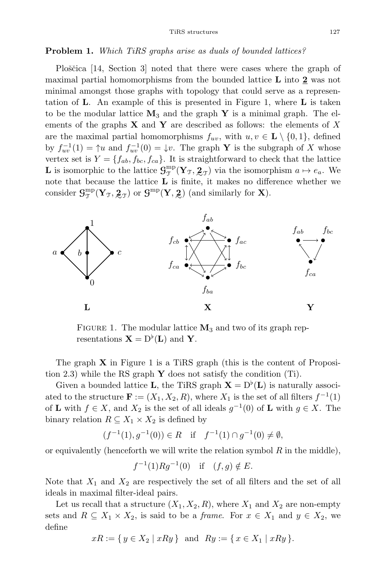## Problem 1. Which TiRS graphs arise as duals of bounded lattices?

Ploščica [14, Section 3] noted that there were cases where the graph of maximal partial homomorphisms from the bounded lattice L into 2 was not minimal amongst those graphs with topology that could serve as a representation of  $\bf{L}$ . An example of this is presented in Figure 1, where  $\bf{L}$  is taken to be the modular lattice  $M_3$  and the graph Y is a minimal graph. The elements of the graphs  $X$  and  $Y$  are described as follows: the elements of X are the maximal partial homomorphisms  $f_{uv}$ , with  $u, v \in L \setminus \{0, 1\}$ , defined by  $f_{uv}^{-1}(1) = \gamma u$  and  $f_{uv}^{-1}(0) = \downarrow v$ . The graph Y is the subgraph of X whose vertex set is  $Y = \{f_{ab}, f_{bc}, f_{ca}\}.$  It is straightforward to check that the lattice **L** is isomorphic to the lattice  $\mathbf{G}_{\mathcal{T}}^{\text{mp}}(\mathbf{Y}_{\mathcal{T}}, \mathbf{Z}_{\mathcal{T}})$  via the isomorphism  $a \mapsto e_a$ . We note that because the lattice L is finite, it makes no difference whether we consider  $\mathcal{G}_{\mathcal{T}}^{\text{mp}}(\mathbf{Y}_{\mathcal{T}}, \mathbf{Z}_{\mathcal{T}})$  or  $\mathcal{G}^{\text{mp}}(\mathbf{Y}, \mathbf{Z})$  (and similarly for **X**).



FIGURE 1. The modular lattice  $M_3$  and two of its graph representations  $\mathbf{X} = D^{\flat}(\mathbf{L})$  and  $\mathbf{Y}$ .

The graph  $X$  in Figure 1 is a TiRS graph (this is the content of Proposition 2.3) while the RS graph  $\bf{Y}$  does not satisfy the condition (Ti).

Given a bounded lattice **L**, the TiRS graph  $X = D^{\flat}(L)$  is naturally associ-ated to the structure  $\mathbf{F} := (X_1, X_2, R)$ , where  $X_1$  is the set of all filters  $f^{-1}(1)$ of **L** with  $f \in X$ , and  $X_2$  is the set of all ideals  $g^{-1}(0)$  of **L** with  $g \in X$ . The binary relation  $R \subseteq X_1 \times X_2$  is defined by

$$
(f^{-1}(1),g^{-1}(0)) \in R \quad \text{if} \quad f^{-1}(1) \cap g^{-1}(0) \neq \emptyset,
$$

or equivalently (henceforth we will write the relation symbol  $R$  in the middle),

$$
f^{-1}(1)Rg^{-1}(0)
$$
 if  $(f,g) \notin E$ .

Note that  $X_1$  and  $X_2$  are respectively the set of all filters and the set of all ideals in maximal filter-ideal pairs.

Let us recall that a structure  $(X_1, X_2, R)$ , where  $X_1$  and  $X_2$  are non-empty sets and  $R \subseteq X_1 \times X_2$ , is said to be a *frame*. For  $x \in X_1$  and  $y \in X_2$ , we define

$$
xR := \{ y \in X_2 \mid xRy \}
$$
 and  $Ry := \{ x \in X_1 \mid xRy \}.$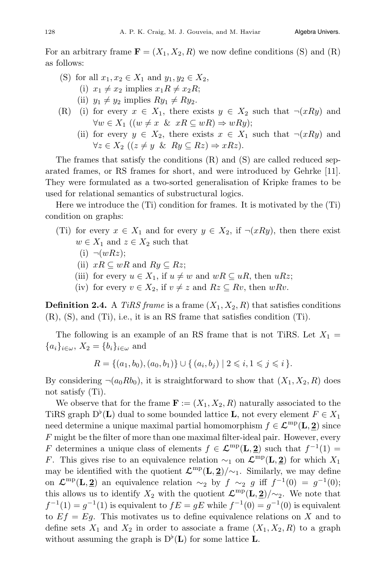For an arbitrary frame  $\mathbf{F} = (X_1, X_2, R)$  we now define conditions (S) and (R) as follows:

- (S) for all  $x_1, x_2 \in X_1$  and  $y_1, y_2 \in X_2$ ,
	- (i)  $x_1 \neq x_2$  implies  $x_1R \neq x_2R$ ;
	- (ii)  $y_1 \neq y_2$  implies  $Ry_1 \neq Ry_2$ .
- (R) (i) for every  $x \in X_1$ , there exists  $y \in X_2$  such that  $\neg(xRy)$  and  $\forall w \in X_1 \ ((w \neq x \ \& \ xR \subseteq wR) \Rightarrow wRy);$ 
	- (ii) for every  $y \in X_2$ , there exists  $x \in X_1$  such that  $\neg(xRy)$  and  $\forall z \in X_2 \ ( (z \neq y \ \& \ Ry \subseteq Rz) \Rightarrow xRz).$

The frames that satisfy the conditions (R) and (S) are called reduced separated frames, or RS frames for short, and were introduced by Gehrke [11]. They were formulated as a two-sorted generalisation of Kripke frames to be used for relational semantics of substructural logics.

Here we introduce the (Ti) condition for frames. It is motivated by the (Ti) condition on graphs:

- (Ti) for every  $x \in X_1$  and for every  $y \in X_2$ , if  $\neg(xRy)$ , then there exist  $w \in X_1$  and  $z \in X_2$  such that
	- $(i) \neg(wRz);$
	- (ii)  $xR \subseteq wR$  and  $Ry \subseteq Rz$ ;
	- (iii) for every  $u \in X_1$ , if  $u \neq w$  and  $wR \subseteq uR$ , then  $uRz$ ;
	- (iv) for every  $v \in X_2$ , if  $v \neq z$  and  $Rz \subseteq Rv$ , then  $wRv$ .

**Definition 2.4.** A TiRS frame is a frame  $(X_1, X_2, R)$  that satisfies conditions (R), (S), and (Ti), i.e., it is an RS frame that satisfies condition (Ti).

The following is an example of an RS frame that is not TiRS. Let  $X_1 =$  ${a_i}_{i\in\omega}, X_2 = {b_i}_{i\in\omega}$  and

$$
R = \{(a_1, b_0), (a_0, b_1)\} \cup \{(a_i, b_j) \mid 2 \leq i, 1 \leq j \leq i\}.
$$

By considering  $\neg(a_0Rb_0)$ , it is straightforward to show that  $(X_1, X_2, R)$  does not satisfy (Ti).

We observe that for the frame  $\mathbf{F} := (X_1, X_2, R)$  naturally associated to the TiRS graph  $D^{\flat}(\mathbf{L})$  dual to some bounded lattice **L**, not every element  $F \in X_1$ need determine a unique maximal partial homomorphism  $f \in \mathcal{L}^{mp}(\mathbf{L}, \mathbf{2})$  since  $F$  might be the filter of more than one maximal filter-ideal pair. However, every F determines a unique class of elements  $f \in \mathcal{L}^{mp}(\mathbf{L}, \mathbf{2})$  such that  $f^{-1}(1) =$ F. This gives rise to an equivalence relation  $\sim_1$  on  $\mathcal{L}^{\text{mp}}(\mathbf{L}, \mathbf{2})$  for which  $X_1$ may be identified with the quotient  $\mathcal{L}^{\text{mp}}(\mathbf{L}, \mathbf{2})/\sim_1$ . Similarly, we may define on  $\mathcal{L}^{\text{mp}}(\mathbf{L}, \mathbf{2})$  an equivalence relation  $\sim_2$  by  $f \sim_2 g$  iff  $f^{-1}(0) = g^{-1}(0);$ this allows us to identify  $X_2$  with the quotient  $\mathcal{L}^{\text{mp}}(\mathbf{L}, \mathbf{2})/\sim_2$ . We note that  $f^{-1}(1) = g^{-1}(1)$  is equivalent to  $fE = gE$  while  $f^{-1}(0) = g^{-1}(0)$  is equivalent to  $Ef = Eg$ . This motivates us to define equivalence relations on X and to define sets  $X_1$  and  $X_2$  in order to associate a frame  $(X_1, X_2, R)$  to a graph without assuming the graph is  $D^{\flat}(\mathbf{L})$  for some lattice **L**.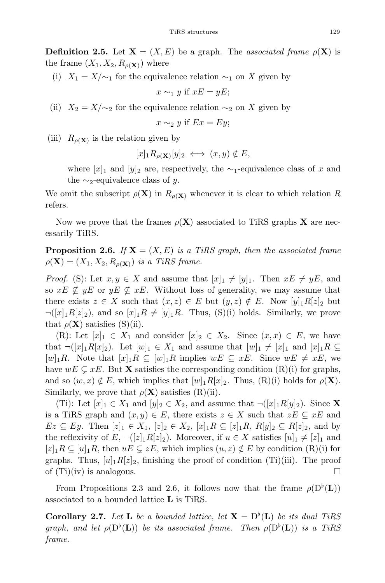**Definition 2.5.** Let  $X = (X, E)$  be a graph. The associated frame  $\rho(X)$  is the frame  $(X_1, X_2, R_{\rho(X)})$  where

(i)  $X_1 = X/\sim_1$  for the equivalence relation  $\sim_1$  on X given by

$$
x \sim_1 y \text{ if } xE = yE;
$$

(ii)  $X_2 = X/\sim_2$  for the equivalence relation  $\sim_2$  on X given by

$$
x \sim_2 y \text{ if } Ex = Ey;
$$

(iii)  $R_{\rho(X)}$  is the relation given by

 $[x]_1R_{\rho(X)}[y]_2 \iff (x, y) \notin E,$ 

where  $[x]_1$  and  $[y]_2$  are, respectively, the ∼<sub>1</sub>-equivalence class of x and the  $\sim_2$ -equivalence class of y.

We omit the subscript  $\rho(\mathbf{X})$  in  $R_{\rho(\mathbf{X})}$  whenever it is clear to which relation R refers.

Now we prove that the frames  $\rho(X)$  associated to TiRS graphs X are necessarily TiRS.

**Proposition 2.6.** If  $X = (X, E)$  is a TiRS graph, then the associated frame  $\rho(\mathbf{X})=(X_1, X_2, R_{\rho(\mathbf{X})})$  is a TiRS frame.

*Proof.* (S): Let  $x, y \in X$  and assume that  $[x]_1 \neq [y]_1$ . Then  $xE \neq yE$ , and so  $xE \nsubseteq yE$  or  $yE \nsubseteq xE$ . Without loss of generality, we may assume that there exists  $z \in X$  such that  $(x, z) \in E$  but  $(y, z) \notin E$ . Now  $[y]_1R[z]_2$  but  $\neg([x]_1R[z]_2)$ , and so  $[x]_1R \neq [y]_1R$ . Thus, (S)(i) holds. Similarly, we prove that  $\rho(\mathbf{X})$  satisfies (S)(ii).

(R): Let  $[x]_1 \in X_1$  and consider  $[x]_2 \in X_2$ . Since  $(x, x) \in E$ , we have that  $\neg([x]_1R[x]_2)$ . Let  $[w]_1 \in X_1$  and assume that  $[w]_1 \neq [x]_1$  and  $[x]_1R \subseteq$  $[w]_1R$ . Note that  $[x]_1R \subseteq [w]_1R$  implies  $wE \subseteq xE$ . Since  $wE \neq xE$ , we have  $wE \subseteq xE$ . But **X** satisfies the corresponding condition (R)(i) for graphs, and so  $(w, x) \notin E$ , which implies that  $[w]_1R[x]_2$ . Thus,  $(R)(i)$  holds for  $\rho(\mathbf{X})$ . Similarly, we prove that  $\rho(\mathbf{X})$  satisfies  $(R)(ii)$ .

(Ti): Let  $[x]_1 \in X_1$  and  $[y]_2 \in X_2$ , and assume that  $\neg([x]_1R[y]_2)$ . Since **X** is a TiRS graph and  $(x, y) \in E$ , there exists  $z \in X$  such that  $zE \subseteq xE$  and  $Ez \subseteq Ey$ . Then  $[z]_1 \in X_1$ ,  $[z]_2 \in X_2$ ,  $[x]_1R \subseteq [z]_1R$ ,  $R[y]_2 \subseteq R[z]_2$ , and by the reflexivity of E,  $\neg (z_1R[z_2])$ . Moreover, if  $u \in X$  satisfies  $[u]_1 \neq [z]_1$  and  $[z]_1R \subseteq [u]_1R$ , then  $uE \subseteq zE$ , which implies  $(u, z) \notin E$  by condition  $(R)(i)$  for graphs. Thus,  $[u]_1R[z]_2$ , finishing the proof of condition (Ti)(iii). The proof of  $(Ti)(iv)$  is analogous.

From Propositions 2.3 and 2.6, it follows now that the frame  $\rho(D^{\nu}(\mathbf{L}))$ associated to a bounded lattice L is TiRS.

**Corollary 2.7.** Let **L** be a bounded lattice, let  $X = D^{\flat}(L)$  be its dual TiRS graph, and let  $\rho(\mathbf{D}^{\flat}(\mathbf{L}))$  be its associated frame. Then  $\rho(\mathbf{D}^{\flat}(\mathbf{L}))$  is a TiRS frame.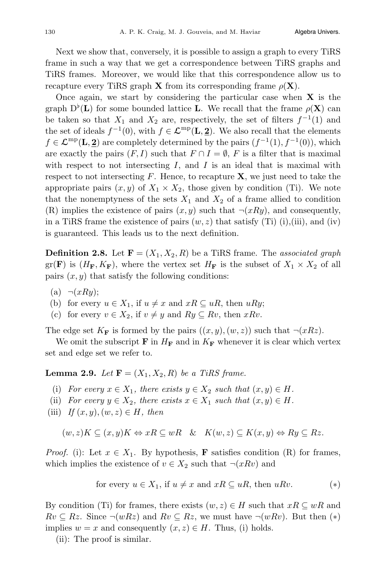Next we show that, conversely, it is possible to assign a graph to every TiRS frame in such a way that we get a correspondence between TiRS graphs and TiRS frames. Moreover, we would like that this correspondence allow us to recapture every TiRS graph **X** from its corresponding frame  $\rho(\mathbf{X})$ .

Once again, we start by considering the particular case when  $X$  is the graph  $D^{\flat}(\mathbf{L})$  for some bounded lattice L. We recall that the frame  $\rho(\mathbf{X})$  can be taken so that  $X_1$  and  $X_2$  are, respectively, the set of filters  $f^{-1}(1)$  and the set of ideals  $f^{-1}(0)$ , with  $f \in \mathcal{L}^{\text{mp}}(\mathbf{L}, \mathbf{2})$ . We also recall that the elements  $f \in \mathcal{L}^{\text{mp}}(\mathbf{L}, \mathbf{2})$  are completely determined by the pairs  $(f^{-1}(1), f^{-1}(0))$ , which are exactly the pairs  $(F, I)$  such that  $F \cap I = \emptyset$ , F is a filter that is maximal with respect to not intersecting  $I$ , and  $I$  is an ideal that is maximal with respect to not intersecting  $F$ . Hence, to recapture  $X$ , we just need to take the appropriate pairs  $(x, y)$  of  $X_1 \times X_2$ , those given by condition (Ti). We note that the nonemptyness of the sets  $X_1$  and  $X_2$  of a frame allied to condition (R) implies the existence of pairs  $(x, y)$  such that  $\neg(xRy)$ , and consequently, in a TiRS frame the existence of pairs  $(w, z)$  that satisfy (Ti) (i),(iii), and (iv) is guaranteed. This leads us to the next definition.

**Definition 2.8.** Let  $\mathbf{F} = (X_1, X_2, R)$  be a TiRS frame. The associated graph  $gr(\mathbf{F})$  is  $(H_{\mathbf{F}}, K_{\mathbf{F}})$ , where the vertex set  $H_{\mathbf{F}}$  is the subset of  $X_1 \times X_2$  of all pairs  $(x, y)$  that satisfy the following conditions:

- (a)  $\neg(xRy)$ ;
- (b) for every  $u \in X_1$ , if  $u \neq x$  and  $xR \subseteq uR$ , then  $uRy$ ;
- (c) for every  $v \in X_2$ , if  $v \neq y$  and  $Ry \subseteq Rv$ , then  $xRv$ .

The edge set  $K_{\mathbf{F}}$  is formed by the pairs  $((x, y), (w, z))$  such that  $\neg(xRz)$ .

We omit the subscript **F** in  $H_F$  and in  $K_F$  whenever it is clear which vertex set and edge set we refer to.

**Lemma 2.9.** Let  $\mathbf{F} = (X_1, X_2, R)$  be a TiRS frame.

- (i) For every  $x \in X_1$ , there exists  $y \in X_2$  such that  $(x, y) \in H$ .
- (ii) For every  $y \in X_2$ , there exists  $x \in X_1$  such that  $(x, y) \in H$ .
- (iii) If  $(x, y)$ ,  $(w, z) \in H$ , then

$$
(w, z)K \subseteq (x, y)K \Leftrightarrow xR \subseteq wR \quad \& \quad K(w, z) \subseteq K(x, y) \Leftrightarrow Ry \subseteq Rz.
$$

*Proof.* (i): Let  $x \in X_1$ . By hypothesis, **F** satisfies condition (R) for frames, which implies the existence of  $v \in X_2$  such that  $\neg(xRv)$  and

for every 
$$
u \in X_1
$$
, if  $u \neq x$  and  $xR \subseteq uR$ , then uRv. (\*)

By condition (Ti) for frames, there exists  $(w, z) \in H$  such that  $xR \subseteq wR$  and  $Rv \subseteq Rz$ . Since  $\neg(wRz)$  and  $Rv \subseteq Rz$ , we must have  $\neg(wRv)$ . But then  $(*)$ implies  $w = x$  and consequently  $(x, z) \in H$ . Thus, (i) holds.

(ii): The proof is similar.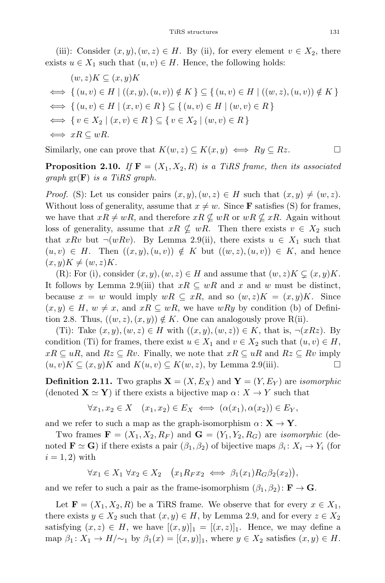(iii): Consider  $(x, y), (w, z) \in H$ . By (ii), for every element  $v \in X_2$ , there exists  $u \in X_1$  such that  $(u, v) \in H$ . Hence, the following holds:

$$
(w, z)K \subseteq (x, y)K
$$
  
\n
$$
\iff \{(u, v) \in H \mid ((x, y), (u, v)) \notin K\} \subseteq \{(u, v) \in H \mid ((w, z), (u, v)) \notin K\}
$$
  
\n
$$
\iff \{(u, v) \in H \mid (x, v) \in R\} \subseteq \{(u, v) \in H \mid (w, v) \in R\}
$$
  
\n
$$
\iff \{v \in X_2 \mid (x, v) \in R\} \subseteq \{v \in X_2 \mid (w, v) \in R\}
$$
  
\n
$$
\iff xR \subseteq wR.
$$

Similarly, one can prove that  $K(w, z) \subseteq K(x, y) \iff Ry \subseteq Rz$ .

**Proposition 2.10.** If  $F = (X_1, X_2, R)$  is a TiRS frame, then its associated  $graph \operatorname{gr}(\mathbf{F})$  is a TiRS graph.

*Proof.* (S): Let us consider pairs  $(x, y), (w, z) \in H$  such that  $(x, y) \neq (w, z)$ . Without loss of generality, assume that  $x \neq w$ . Since **F** satisfies (S) for frames, we have that  $xR \neq wR$ , and therefore  $xR \nsubseteq wR$  or  $wR \nsubseteq xR$ . Again without loss of generality, assume that  $xR \nsubseteq wR$ . Then there exists  $v \in X_2$  such that xRv but  $\neg(wRv)$ . By Lemma 2.9(ii), there exists  $u \in X_1$  such that  $(u, v) \in H$ . Then  $((x, y), (u, v)) \notin K$  but  $((w, z), (u, v)) \in K$ , and hence  $(x, y)K \neq (w, z)K$ .

(R): For (i), consider  $(x, y)$ ,  $(w, z) \in H$  and assume that  $(w, z)K \subsetneq (x, y)K$ . It follows by Lemma 2.9(iii) that  $xR \subseteq wR$  and x and w must be distinct, because  $x = w$  would imply  $wR \subseteq xR$ , and so  $(w, z)K = (x, y)K$ . Since  $(x, y) \in H$ ,  $w \neq x$ , and  $xR \subseteq wR$ , we have  $wRy$  by condition (b) of Definition 2.8. Thus,  $((w, z), (x, y)) \notin K$ . One can analogously prove R(ii).

(Ti): Take  $(x, y), (w, z) \in H$  with  $((x, y), (w, z)) \in K$ , that is,  $\neg(xRz)$ . By condition (Ti) for frames, there exist  $u \in X_1$  and  $v \in X_2$  such that  $(u, v) \in H$ ,  $xR \subseteq uR$ , and  $Rz \subseteq Rv$ . Finally, we note that  $xR \subseteq uR$  and  $Rz \subseteq Rv$  imply  $(u, v)K \subseteq (x, y)K$  and  $K(u, v) \subseteq K(w, z)$ , by Lemma 2.9(iii).

**Definition 2.11.** Two graphs  $X = (X, E_X)$  and  $Y = (Y, E_Y)$  are *isomorphic* (denoted  $\mathbf{X} \simeq \mathbf{Y}$ ) if there exists a bijective map  $\alpha \colon X \to Y$  such that

$$
\forall x_1, x_2 \in X \quad (x_1, x_2) \in E_X \iff (\alpha(x_1), \alpha(x_2)) \in E_Y,
$$

and we refer to such a map as the graph-isomorphism  $\alpha: \mathbf{X} \to \mathbf{Y}$ .

Two frames  $\mathbf{F} = (X_1, X_2, R_F)$  and  $\mathbf{G} = (Y_1, Y_2, R_G)$  are *isomorphic* (denoted  $\mathbf{F} \simeq \mathbf{G}$ ) if there exists a pair  $(\beta_1, \beta_2)$  of bijective maps  $\beta_i : X_i \to Y_i$  (for  $i = 1, 2$  with

$$
\forall x_1 \in X_1 \ \forall x_2 \in X_2 \quad \big(x_1 R_F x_2 \iff \beta_1(x_1) R_G \beta_2(x_2)\big),
$$

and we refer to such a pair as the frame-isomorphism  $(\beta_1, \beta_2) : \mathbf{F} \to \mathbf{G}$ .

Let  $\mathbf{F} = (X_1, X_2, R)$  be a TiRS frame. We observe that for every  $x \in X_1$ , there exists  $y \in X_2$  such that  $(x, y) \in H$ , by Lemma 2.9, and for every  $z \in X_2$ satisfying  $(x, z) \in H$ , we have  $[(x, y)]_1 = [(x, z)]_1$ . Hence, we may define a map  $\beta_1: X_1 \to H/\sim_1$  by  $\beta_1(x) = [(x, y)]_1$ , where  $y \in X_2$  satisfies  $(x, y) \in H$ .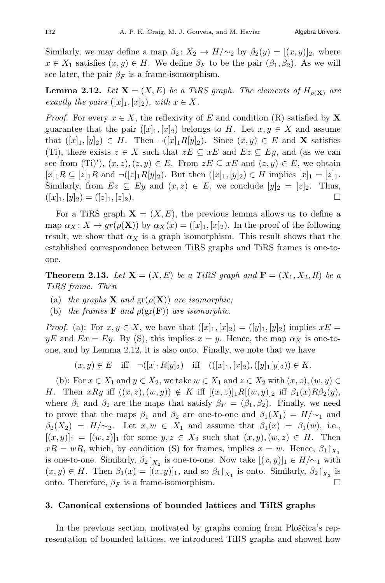Similarly, we may define a map  $\beta_2 \colon X_2 \to H/\sim_2$  by  $\beta_2(y) = [(x, y)]_2$ , where  $x \in X_1$  satisfies  $(x, y) \in H$ . We define  $\beta_F$  to be the pair  $(\beta_1, \beta_2)$ . As we will see later, the pair  $\beta_F$  is a frame-isomorphism.

**Lemma 2.12.** Let  $X = (X, E)$  be a TiRS graph. The elements of  $H_{\rho(X)}$  are exactly the pairs  $([x]_1, [x]_2)$ , with  $x \in X$ .

*Proof.* For every  $x \in X$ , the reflexivity of E and condition (R) satisfied by X guarantee that the pair  $([x]_1, [x]_2)$  belongs to H. Let  $x, y \in X$  and assume that  $([x]_1, [y]_2) \in H$ . Then  $\neg([x]_1 R[y]_2)$ . Since  $(x, y) \in E$  and **X** satisfies (Ti), there exists  $z \in X$  such that  $zE \subseteq xE$  and  $Ez \subseteq Ey$ , and (as we can see from (Ti)'),  $(x, z)$ ,  $(z, y) \in E$ . From  $zE \subseteq xE$  and  $(z, y) \in E$ , we obtain  $[x]_1R \subseteq [z]_1R$  and  $\neg([z]_1R[y]_2)$ . But then  $([x]_1, [y]_2) \in H$  implies  $[x]_1 = [z]_1$ . Similarly, from  $Ez \subseteq Ey$  and  $(x, z) \in E$ , we conclude  $[y]_2 = [z]_2$ . Thus,  $(|x_1, |y_2) = (|z_1, |z_2).$ 

For a TiRS graph  $X = (X, E)$ , the previous lemma allows us to define a map  $\alpha_X \colon X \to gr(\rho(\mathbf{X}))$  by  $\alpha_X(x) = ([x]_1, [x]_2)$ . In the proof of the following result, we show that  $\alpha_X$  is a graph isomorphism. This result shows that the established correspondence between TiRS graphs and TiRS frames is one-toone.

**Theorem 2.13.** Let  $X = (X, E)$  be a TiRS graph and  $F = (X_1, X_2, R)$  be a TiRS frame. Then

- (a) the graphs **X** and  $gr(\rho(X))$  are isomorphic;
- (b) the frames **F** and  $\rho(\text{gr}(\mathbf{F}))$  are isomorphic.

*Proof.* (a): For  $x, y \in X$ , we have that  $([x]_1, [x]_2) = ([y]_1, [y]_2)$  implies  $xE =$  $yE$  and  $Ex = Ey$ . By (S), this implies  $x = y$ . Hence, the map  $\alpha_X$  is one-toone, and by Lemma 2.12, it is also onto. Finally, we note that we have

$$
(x, y) \in E
$$
 iff  $\neg([x]_1 R[y]_2)$  iff  $(([x]_1, [x]_2), ([y]_1 [y]_2)) \in K$ .

(b): For  $x \in X_1$  and  $y \in X_2$ , we take  $w \in X_1$  and  $z \in X_2$  with  $(x, z)$ ,  $(w, y) \in$ H. Then  $xRy$  iff  $((x, z), (w, y)) \notin K$  iff  $[(x, z)]_1R[(w, y)]_2$  iff  $\beta_1(x)R\beta_2(y)$ , where  $\beta_1$  and  $\beta_2$  are the maps that satisfy  $\beta_F = (\beta_1, \beta_2)$ . Finally, we need to prove that the maps  $\beta_1$  and  $\beta_2$  are one-to-one and  $\beta_1(X_1) = H/\mathfrak{\sim}_1$  and  $\beta_2(X_2) = H/\sim_2$ . Let  $x, w \in X_1$  and assume that  $\beta_1(x) = \beta_1(w)$ , i.e.,  $[(x, y)]_1 = [(w, z)]_1$  for some  $y, z \in X_2$  such that  $(x, y), (w, z) \in H$ . Then  $xR = wR$ , which, by condition (S) for frames, implies  $x = w$ . Hence,  $\beta_1\upharpoonright_{X_1}$ is one-to-one. Similarly,  $\beta_2\upharpoonright_{X_2}$  is one-to-one. Now take  $[(x, y)]_1 \in H/\sim_1$  with  $(x, y) \in H$ . Then  $\beta_1(x) = [(x, y)]_1$ , and so  $\beta_1|_{X_1}$  is onto. Similarly,  $\beta_2|_{X_2}$  is onto. Therefore,  $\beta_F$  is a frame-isomorphism. onto. Therefore,  $\beta_F$  is a frame-isomorphism.

## 3. Canonical extensions of bounded lattices and TiRS graphs

In the previous section, motivated by graphs coming from Ploščica's representation of bounded lattices, we introduced TiRS graphs and showed how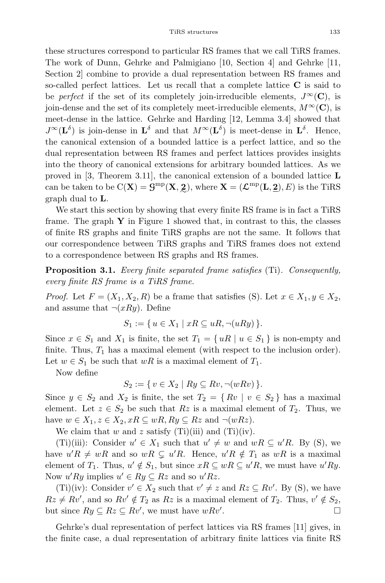these structures correspond to particular RS frames that we call TiRS frames. The work of Dunn, Gehrke and Palmigiano [10, Section 4] and Gehrke [11, Section 2] combine to provide a dual representation between RS frames and so-called perfect lattices. Let us recall that a complete lattice C is said to be *perfect* if the set of its completely join-irreducible elements,  $J^{\infty}(\mathbf{C})$ , is join-dense and the set of its completely meet-irreducible elements,  $M^{\infty}(\mathbf{C})$ , is meet-dense in the lattice. Gehrke and Harding [12, Lemma 3.4] showed that  $J^{\infty}(\mathbf{L}^{\delta})$  is join-dense in  $\mathbf{L}^{\delta}$  and that  $M^{\infty}(\mathbf{L}^{\delta})$  is meet-dense in  $\mathbf{L}^{\delta}$ . Hence, the canonical extension of a bounded lattice is a perfect lattice, and so the dual representation between RS frames and perfect lattices provides insights into the theory of canonical extensions for arbitrary bounded lattices. As we proved in [3, Theorem 3.11], the canonical extension of a bounded lattice L can be taken to be  $C(\mathbf{X}) = \mathbf{G}^{\text{mp}}(\mathbf{X}, \mathbf{Z})$ , where  $\mathbf{X} = (\mathcal{L}^{\text{mp}}(\mathbf{L}, \mathbf{Z}), E)$  is the TiRS graph dual to L.

We start this section by showing that every finite RS frame is in fact a TiRS frame. The graph  $\bf{Y}$  in Figure 1 showed that, in contrast to this, the classes of finite RS graphs and finite TiRS graphs are not the same. It follows that our correspondence between TiRS graphs and TiRS frames does not extend to a correspondence between RS graphs and RS frames.

Proposition 3.1. Every finite separated frame satisfies (Ti). Consequently, every finite RS frame is a TiRS frame.

*Proof.* Let  $F = (X_1, X_2, R)$  be a frame that satisfies (S). Let  $x \in X_1, y \in X_2$ , and assume that  $\neg(xRy)$ . Define

$$
S_1 := \{ u \in X_1 \mid xR \subseteq uR, \neg(uRy) \}.
$$

Since  $x \in S_1$  and  $X_1$  is finite, the set  $T_1 = \{ uR \mid u \in S_1 \}$  is non-empty and finite. Thus,  $T_1$  has a maximal element (with respect to the inclusion order). Let  $w \in S_1$  be such that  $wR$  is a maximal element of  $T_1$ .

Now define

 $S_2 := \{ v \in X_2 \mid Ry \subseteq Rv, \neg(wRv) \}.$ 

Since  $y \in S_2$  and  $X_2$  is finite, the set  $T_2 = \{ Rv \mid v \in S_2 \}$  has a maximal element. Let  $z \in S_2$  be such that  $Rz$  is a maximal element of  $T_2$ . Thus, we have  $w \in X_1, z \in X_2, xR \subseteq wR, Ry \subseteq Rz$  and  $\neg(wRz)$ .

We claim that w and z satisfy  $(Ti)(iii)$  and  $(Ti)(iv)$ .

(Ti)(iii): Consider  $u' \in X_1$  such that  $u' \neq w$  and  $wR \subseteq u'R$ . By (S), we have  $u'R \neq wR$  and so  $wR \subsetneq u'R$ . Hence,  $u'R \notin T_1$  as  $wR$  is a maximal element of  $T_1$ . Thus,  $u' \notin S_1$ , but since  $xR \subseteq wR \subseteq u'R$ , we must have  $u'Ry$ . Now  $u'Ry$  implies  $u' \in Ry \subseteq Rz$  and so  $u'Rz$ .

(Ti)(iv): Consider  $v' \in X_2$  such that  $v' \neq z$  and  $Rz \subseteq Rv'$ . By (S), we have  $Rz \neq Rv'$ , and so  $Rv' \notin T_2$  as  $Rz$  is a maximal element of  $T_2$ . Thus,  $v' \notin S_2$ , but since  $Ry \subseteq Rz \subseteq Rv'$ , we must have  $wRv'$ .

Gehrke's dual representation of perfect lattices via RS frames [11] gives, in the finite case, a dual representation of arbitrary finite lattices via finite RS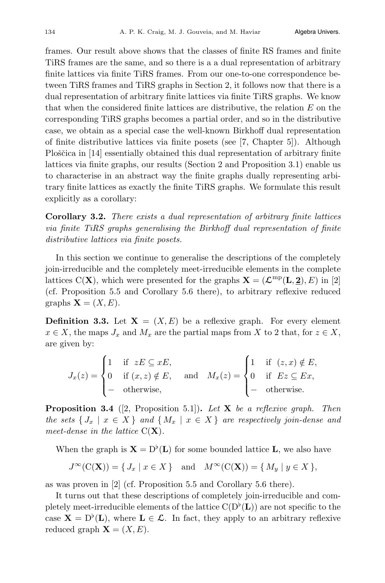frames. Our result above shows that the classes of finite RS frames and finite TiRS frames are the same, and so there is a a dual representation of arbitrary finite lattices via finite TiRS frames. From our one-to-one correspondence between TiRS frames and TiRS graphs in Section 2, it follows now that there is a dual representation of arbitrary finite lattices via finite TiRS graphs. We know that when the considered finite lattices are distributive, the relation E on the corresponding TiRS graphs becomes a partial order, and so in the distributive case, we obtain as a special case the well-known Birkhoff dual representation of finite distributive lattices via finite posets (see [7, Chapter 5]). Although Ploščica in [14] essentially obtained this dual representation of arbitrary finite lattices via finite graphs, our results (Section 2 and Proposition 3.1) enable us to characterise in an abstract way the finite graphs dually representing arbitrary finite lattices as exactly the finite TiRS graphs. We formulate this result explicitly as a corollary:

Corollary 3.2. There exists a dual representation of arbitrary finite lattices via finite TiRS graphs generalising the Birkhoff dual representation of finite distributive lattices via finite posets.

In this section we continue to generalise the descriptions of the completely join-irreducible and the completely meet-irreducible elements in the complete lattices C(**X**), which were presented for the graphs  $X = (\mathcal{L}^{mp}(L, 2), E)$  in [2] (cf. Proposition 5.5 and Corollary 5.6 there), to arbitrary reflexive reduced graphs  $X = (X, E)$ .

**Definition 3.3.** Let  $X = (X, E)$  be a reflexive graph. For every element  $x \in X$ , the maps  $J_x$  and  $M_x$  are the partial maps from X to 2 that, for  $z \in X$ , are given by:

$$
J_x(z) = \begin{cases} 1 & \text{if } zE \subseteq xE, \\ 0 & \text{if } (x, z) \notin E, \\ - & \text{otherwise,} \end{cases} \quad \text{and} \quad M_x(z) = \begin{cases} 1 & \text{if } (z, x) \notin E, \\ 0 & \text{if } Ez \subseteq Ex, \\ - & \text{otherwise.} \end{cases}
$$

**Proposition 3.4** ([2, Proposition 5.1]). Let  $X$  be a reflexive graph. Then the sets  $\{J_x \mid x \in X\}$  and  $\{M_x \mid x \in X\}$  are respectively join-dense and meet-dense in the lattice  $C(X)$ .

When the graph is  $X = D^{\flat}(L)$  for some bounded lattice L, we also have

$$
J^{\infty}(\mathcal{C}(\mathbf{X})) = \{ J_x \mid x \in X \} \text{ and } M^{\infty}(\mathcal{C}(\mathbf{X})) = \{ M_y \mid y \in X \},
$$

as was proven in [2] (cf. Proposition 5.5 and Corollary 5.6 there).

It turns out that these descriptions of completely join-irreducible and completely meet-irreducible elements of the lattice  $C(D^{\flat}(L))$  are not specific to the case  $\mathbf{X} = D^{\rho}(\mathbf{L})$ , where  $\mathbf{L} \in \mathcal{L}$ . In fact, they apply to an arbitrary reflexive reduced graph  $\mathbf{X} = (X, E)$ .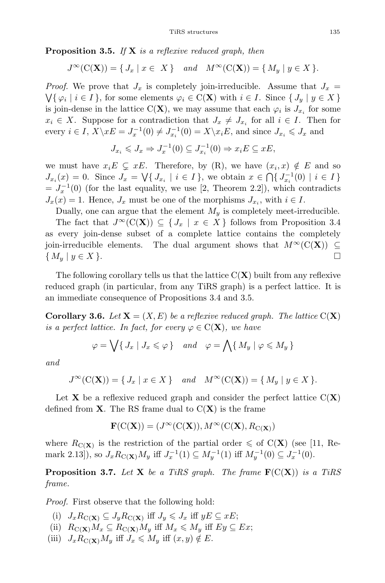**Proposition 3.5.** If  $X$  is a reflexive reduced graph, then

$$
J^{\infty}(\mathcal{C}(\mathbf{X})) = \{ J_x \mid x \in X \} \quad and \quad M^{\infty}(\mathcal{C}(\mathbf{X})) = \{ M_y \mid y \in X \}.
$$

*Proof.* We prove that  $J_x$  is completely join-irreducible. Assume that  $J_x$  =  $\bigvee\{\varphi_i \mid i \in I\}$ , for some elements  $\varphi_i \in C(\mathbf{X})$  with  $i \in I$ . Since  $\{J_u \mid y \in X\}$ is join-dense in the lattice C(X), we may assume that each  $\varphi_i$  is  $J_{x_i}$  for some  $x_i \in X$ . Suppose for a contradiction that  $J_x \neq J_{x_i}$  for all  $i \in I$ . Then for every  $i \in I$ ,  $X \backslash xE = J_x^{-1}(0) \neq J_{x_i}^{-1}(0) = X \backslash x_iE$ , and since  $J_{x_i} \leq J_x$  and

$$
J_{x_i} \leqslant J_x \Rightarrow J_x^{-1}(0) \subseteq J_{x_i}^{-1}(0) \Rightarrow x_i E \subseteq xE,
$$

we must have  $x_iE \subsetneq xE$ . Therefore, by (R), we have  $(x_i, x) \notin E$  and so  $J_{x_i}(x) = 0.$  Since  $J_x = \bigvee \{ J_{x_i} \mid i \in I \}$ , we obtain  $x \in \bigcap \{ J_{x_i}^{-1}(0) \mid i \in I \}$  $= J_x^{-1}(0)$  (for the last equality, we use [2, Theorem 2.2]), which contradicts  $J_x(x) = 1$ . Hence,  $J_x$  must be one of the morphisms  $J_{x_i}$ , with  $i \in I$ .

Dually, one can argue that the element  $M<sub>y</sub>$  is completely meet-irreducible.

The fact that  $J^{\infty}(C(X)) \subseteq \{J_x \mid x \in X\}$  follows from Proposition 3.4 as every join-dense subset of a complete lattice contains the completely join-irreducible elements. The dual argument shows that  $M^{\infty}(C(\mathbf{X})) \subseteq$ <br>{  $M_{\cdot} \mid u \in X$  }  $\{ M_y | y \in X \}.$ 

The following corollary tells us that the lattice  $C(X)$  built from any reflexive reduced graph (in particular, from any TiRS graph) is a perfect lattice. It is an immediate consequence of Propositions 3.4 and 3.5.

**Corollary 3.6.** Let  $X = (X, E)$  be a reflexive reduced graph. The lattice  $C(X)$ is a perfect lattice. In fact, for every  $\varphi \in C(\mathbf{X})$ , we have

$$
\varphi = \bigvee \{ J_x \mid J_x \leqslant \varphi \} \quad and \quad \varphi = \bigwedge \{ M_y \mid \varphi \leqslant M_y \}
$$

and

$$
J^{\infty}(\mathcal{C}(\mathbf{X})) = \{ J_x \mid x \in X \} \quad and \quad M^{\infty}(\mathcal{C}(\mathbf{X})) = \{ M_y \mid y \in X \}.
$$

Let **X** be a reflexive reduced graph and consider the perfect lattice  $C(X)$ defined from  $X$ . The RS frame dual to  $C(X)$  is the frame

$$
\mathbf{F}(\mathrm{C}(\mathbf{X}))=(J^\infty(\mathrm{C}(\mathbf{X})),M^\infty(\mathrm{C}(\mathbf{X}),R_{\mathrm{C}(\mathbf{X})})
$$

where  $R_{\text{C}(\mathbf{X})}$  is the restriction of the partial order  $\leq$  of C(**X**) (see [11, Remark 2.13]), so  $J_x R_{\mathbf{C}(\mathbf{X})} M_y$  iff  $J_x^{-1}(1) \subseteq M_y^{-1}(1)$  iff  $M_y^{-1}(0) \subseteq J_x^{-1}(0)$ .

**Proposition 3.7.** Let **X** be a TiRS graph. The frame  $F(C(X))$  is a TiRS frame.

Proof. First observe that the following hold:

- (i)  $J_xR_{\mathcal{C}(\mathbf{X})}\subseteq J_yR_{\mathcal{C}(\mathbf{X})}$  iff  $J_y\leqslant J_x$  iff  $yE\subseteq xE$ ;
- (ii)  $R_{\mathbf{C}(\mathbf{X})}M_x \subseteq R_{\mathbf{C}(\mathbf{X})}M_y$  iff  $M_x \leqslant M_y$  iff  $Ey \subseteq Ex;$
- (iii)  $J_x R_{\mathbf{C}(\mathbf{X})} M_y$  iff  $J_x \leqslant M_y$  iff  $(x, y) \notin E$ .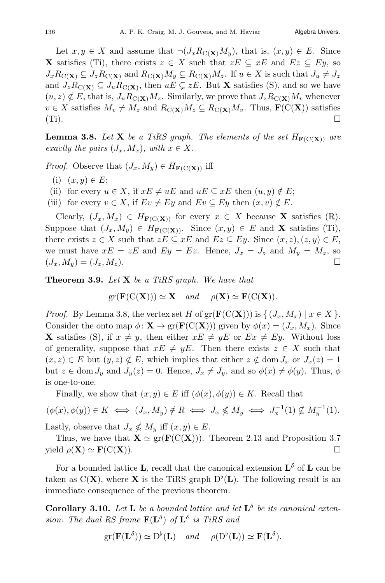Let  $x, y \in X$  and assume that  $\neg (J_x R_{\mathcal{C}(\mathbf{X})} M_y)$ , that is,  $(x, y) \in E$ . Since **X** satisfies (Ti), there exists  $z \in X$  such that  $zE \subseteq xE$  and  $Ez \subseteq Ey$ , so  $J_xR_{\mathcal{C}(\mathbf{X})}\subseteq J_zR_{\mathcal{C}(\mathbf{X})}$  and  $R_{\mathcal{C}(\mathbf{X})}M_y\subseteq R_{\mathcal{C}(\mathbf{X})}M_z$ . If  $u\in X$  is such that  $J_u\neq J_z$ and  $J_zR_{\mathcal{C}(\mathbf{X})}\subseteq J_uR_{\mathcal{C}(\mathbf{X})}$ , then  $uE\subsetneq zE$ . But **X** satisfies (S), and so we have  $(u, z) \notin E$ , that is,  $J_u R_{\mathcal{C}(\mathbf{X})} M_z$ . Similarly, we prove that  $J_z R_{\mathcal{C}(\mathbf{X})} M_v$  whenever  $v \in X$  satisfies  $M_v \neq M_z$  and  $R_{\mathcal{C}(\mathbf{X})}M_z \subseteq R_{\mathcal{C}(\mathbf{X})}M_v$ . Thus,  $\mathbf{F}(\mathcal{C}(\mathbf{X}))$  satisfies  $\square$  $(Ti)$ .

**Lemma 3.8.** Let **X** be a TiRS graph. The elements of the set  $H_{\mathbf{F}(C(\mathbf{X}))}$  are exactly the pairs  $(J_x, M_x)$ , with  $x \in X$ .

*Proof.* Observe that  $(J_x, M_y) \in H_{\mathbf{F}(\mathbf{C}(\mathbf{X}))}$  iff

- (i)  $(x, y) \in E$ ;
- (ii) for every  $u \in X$ , if  $xE \neq uE$  and  $uE \subseteq xE$  then  $(u, y) \notin E$ ;
- (iii) for every  $v \in X$ , if  $Ev \neq Ey$  and  $Ev \subseteq Ey$  then  $(x, v) \notin E$ .

Clearly,  $(J_x, M_x) \in H_{\mathbf{F}(\mathbf{C}(\mathbf{X}))}$  for every  $x \in X$  because **X** satisfies (R). Suppose that  $(J_x, M_y) \in H_{\mathbf{F}(C(\mathbf{X}))}$ . Since  $(x, y) \in E$  and **X** satisfies (Ti), there exists  $z \in X$  such that  $zE \subseteq xE$  and  $Ez \subseteq Ey$ . Since  $(x, z), (z, y) \in E$ , we must have  $xE = zE$  and  $Ey = Ez$ . Hence,  $J_x = J_z$  and  $M_y = M_z$ , so  $(J_x, M_y) = (J_z, M_z).$ 

**Theorem 3.9.** Let  $X$  be a TiRS graph. We have that

$$
gr(\mathbf{F}(C(\mathbf{X}))) \simeq \mathbf{X} \quad and \quad \rho(\mathbf{X}) \simeq \mathbf{F}(C(\mathbf{X})).
$$

*Proof.* By Lemma 3.8, the vertex set H of  $gr(F(C(X)))$  is  $\{ (J_x, M_x) \mid x \in X \}$ . Consider the onto map  $\phi \colon \mathbf{X} \to \text{gr}(\mathbf{F}(\mathbf{C}(\mathbf{X})))$  given by  $\phi(x)=(J_x, M_x)$ . Since **X** satisfies (S), if  $x \neq y$ , then either  $xE \neq yE$  or  $Ex \neq Ey$ . Without loss of generality, suppose that  $xE \neq yE$ . Then there exists  $z \in X$  such that  $(x, z) \in E$  but  $(y, z) \notin E$ , which implies that either  $z \notin \text{dom } J_x$  or  $J_x(z)=1$ but  $z \in \text{dom } J_y$  and  $J_y(z) = 0$ . Hence,  $J_x \neq J_y$ , and so  $\phi(x) \neq \phi(y)$ . Thus,  $\phi$ is one-to-one.

Finally, we show that  $(x, y) \in E$  iff  $(\phi(x), \phi(y)) \in K$ . Recall that

 $(\phi(x), \phi(y)) \in K \iff (J_x, M_y) \notin R \iff J_x \nleq M_y \iff J_x^{-1}(1) \nleq M_y^{-1}(1).$ Lastly, observe that  $J_x \nleq M_y$  iff  $(x, y) \in E$ .

Thus, we have that  $\mathbf{X} \simeq \text{gr}(\mathbf{F}(C(\mathbf{X})))$ . Theorem 2.13 and Proposition 3.7 <br>
eld  $\rho(\mathbf{X}) \simeq \mathbf{F}(C(\mathbf{X}))$ . yield  $\rho(\mathbf{X}) \simeq \mathbf{F}(\mathrm{C}(\mathbf{X})).$ 

For a bounded lattice **L**, recall that the canonical extension  $\mathbf{L}^{\delta}$  of **L** can be taken as  $C(X)$ , where X is the TiRS graph  $D^{\flat}(L)$ . The following result is an immediate consequence of the previous theorem.

**Corollary 3.10.** Let **L** be a bounded lattice and let  $\mathbf{L}^{\delta}$  be its canonical extension. The dual RS frame  $\mathbf{F}(\mathbf{L}^{\delta})$  of  $\mathbf{L}^{\delta}$  is TiRS and

$$
\mathrm{gr}(\mathbf{F}(\mathbf{L}^{\delta})) \simeq \mathrm{D}^{\flat}(\mathbf{L}) \quad \text{and} \quad \rho(\mathrm{D}^{\flat}(\mathbf{L})) \simeq \mathbf{F}(\mathbf{L}^{\delta}).
$$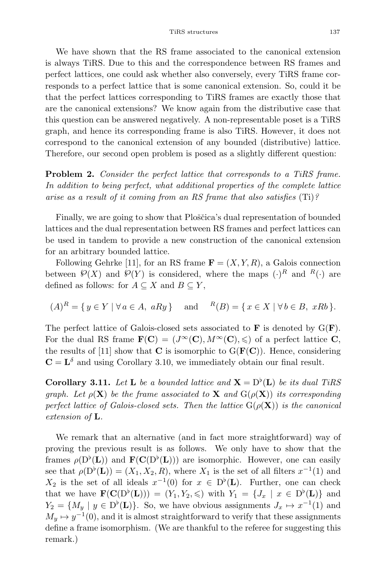We have shown that the RS frame associated to the canonical extension is always TiRS. Due to this and the correspondence between RS frames and perfect lattices, one could ask whether also conversely, every TiRS frame corresponds to a perfect lattice that is some canonical extension. So, could it be that the perfect lattices corresponding to TiRS frames are exactly those that are the canonical extensions? We know again from the distributive case that this question can be answered negatively. A non-representable poset is a TiRS graph, and hence its corresponding frame is also TiRS. However, it does not correspond to the canonical extension of any bounded (distributive) lattice. Therefore, our second open problem is posed as a slightly different question:

Problem 2. Consider the perfect lattice that corresponds to a TiRS frame. In addition to being perfect, what additional properties of the complete lattice arise as a result of it coming from an RS frame that also satisfies (Ti)?

Finally, we are going to show that Ploščica's dual representation of bounded lattices and the dual representation between RS frames and perfect lattices can be used in tandem to provide a new construction of the canonical extension for an arbitrary bounded lattice.

Following Gehrke [11], for an RS frame  $\mathbf{F} = (X, Y, R)$ , a Galois connection between  $\mathcal{P}(X)$  and  $\mathcal{P}(Y)$  is considered, where the maps  $(\cdot)^R$  and  $R(\cdot)$  are defined as follows: for  $A \subseteq X$  and  $B \subseteq Y$ ,

$$
(A)^R = \{ y \in Y \mid \forall a \in A, aRy \}
$$
 and  $^{R}(B) = \{ x \in X \mid \forall b \in B, xRb \}.$ 

The perfect lattice of Galois-closed sets associated to  $\bf{F}$  is denoted by  $G(\bf{F})$ . For the dual RS frame  $\mathbf{F}(\mathbf{C})=(J^{\infty}(\mathbf{C}), M^{\infty}(\mathbf{C}), \leqslant)$  of a perfect lattice C, the results of [11] show that  $C$  is isomorphic to  $G(\mathbf{F}(C))$ . Hence, considering  $C = L^{\delta}$  and using Corollary 3.10, we immediately obtain our final result.

**Corollary 3.11.** Let **L** be a bounded lattice and  $X = D^{\flat}(L)$  be its dual TiRS graph. Let  $\rho(\mathbf{X})$  be the frame associated to **X** and  $G(\rho(\mathbf{X}))$  its corresponding perfect lattice of Galois-closed sets. Then the lattice  $G(\rho(\mathbf{X}))$  is the canonical extension of L.

We remark that an alternative (and in fact more straightforward) way of proving the previous result is as follows. We only have to show that the frames  $\rho(D^{\flat}(L))$  and  $\mathbf{F}(\mathbf{C}(D^{\flat}(L)))$  are isomorphic. However, one can easily see that  $\rho(D^{\flat}(\mathbf{L})) = (X_1, X_2, R)$ , where  $X_1$  is the set of all filters  $x^{-1}(1)$  and  $X_2$  is the set of all ideals  $x^{-1}(0)$  for  $x \in D^{\flat}(L)$ . Further, one can check that we have  $\mathbf{F}(\mathbf{C}(D^{\flat}(\mathbf{L}))) = (Y_1, Y_2, \leqslant)$  with  $Y_1 = \{J_x \mid x \in D^{\flat}(\mathbf{L})\}\$ and  $Y_2 = \{M_y \mid y \in D^{\flat}(\mathbf{L})\}.$  So, we have obvious assignments  $J_x \mapsto x^{-1}(1)$  and  $M_y \mapsto y^{-1}(0)$ , and it is almost straightforward to verify that these assignments define a frame isomorphism. (We are thankful to the referee for suggesting this remark.)